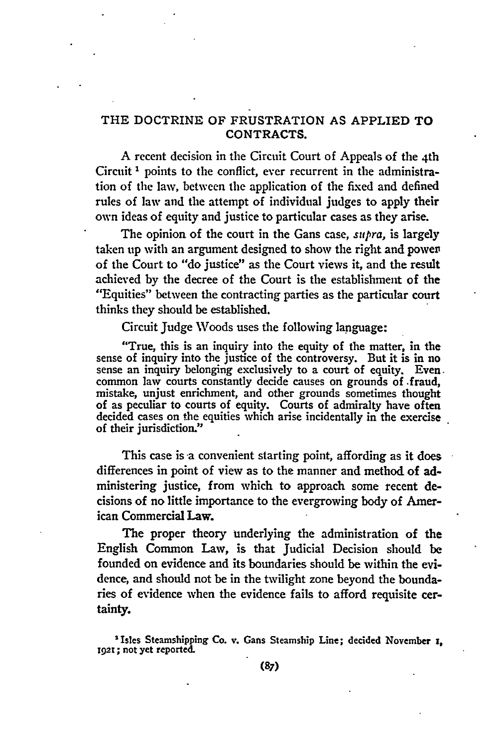# THE DOCTRINE OF FRUSTRATION AS APPLIED TO CONTRACTS.

A recent decision in the Circuit Court of Appeals of the 4th Circuit **I** points to the conflict, ever recurrent in the administration of the law, between the application of the fixed and defined rules of **law** and the attempt of individual judges to apply their own ideas of equity and justice to particular cases as they arise.

The opinion of the court in the Gans case, *supra,* is largely taken up with an argument designed to show the right and power' of the Court to "do justice" as the Court views it, and the result achieved **by** the decree of the Court is the establishment of the "Equities" between the contracting parties as the particular court thinks they should be established.

Circuit Judge Woods uses the following language:

"True, this is an inquiry into the equity of the matter, in the sense of inquiry into the justice of the controversy. But it is in no sense an inquiry belonging exclusively to a court of equity. Even. common law courts constantly decide causes on grounds of .fraud, mistake, unjust enrichment, and other grounds sometimes thought of as peculiar to courts of equity. Courts of admiralty have often decided cases on the equities which arise incidentally in the exercise of their jurisdiction."

This case is a convenient starting point, affording as it does differences in point of view as to the manner and method of administering justice, from which to approach some recent decisions of no little importance to the evergrowing body of American Commercial Law.

**The** proper theory underlying the administration of the English Common Law, is that Judicial Decision should be founded on evidence and its boundaries should be within the evidence, and should not be in the twilight zone beyond the boundaries of evidence when the evidence fails to afford requisite certainty.

Isles Steamshipping Co. v. Gans Steamship Line; decided November **, 192t;** not yet reported.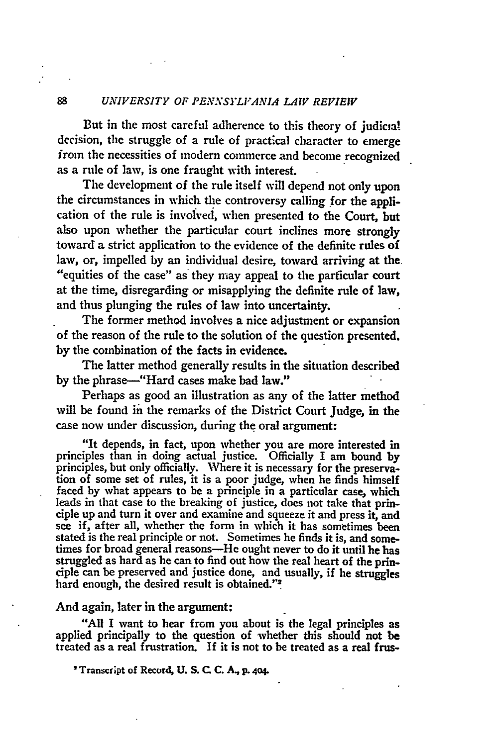But in the most careful adherence to this theory of judicial decision, the struggle of a rule of practical character to emerge from the necessities of modern commerce and become recognized as a rule of law, is one fraught with interest.

The development of the rule itself will depend not only upon the circumstances in which the controversy calling for the application of the rule is involved, when presented to the Court, but also upon whether the particular court inclines more strongly toward a strict application to the evidence of the definite rules of law, or, impelled by an individual desire, toward arriving at the "equities of the case" as they may appeal to the particular court at the time, disregarding or misapplying the definite rule of law, and thus plunging the rules of law into uncertainty.

The former method involves a nice adjustment or expansion of the reason of the rule to the solution of the question presented. by the combination of the facts in evidence.

The latter method generally results in the situation described by the phrase-"Hard cases make bad law."

Perhaps as good an illustration as any of the latter method will be found in the remarks of the District Court Judge, in the case now under discussion, during the oral argument:

"It depends, in fact, upon whether you are more interested in principles than in doing actual justice. Officially I am bound by principles, but only officially. Where it is necessary for the preservation of some set of rules, it is a poor judge, when he finds himself faced by what appears to be a principle in a particular case, which leads in that case to the breaking of justice, does not take that principle up and turn it over and examine and squeeze it and press it, and see if, after all, whether the form in which it has sometimes been stated is the real principle or not. Sometimes he finds it is, and sometimes for broad general reasons—He ought never to do it until he has struggled as hard as he can to find out how the real heart of the principle can be preserved and justice done, and usually, if he struggles hard enough, the desired result is obtained."<sup>2</sup>

### And again, later in the argument:

"All I want to hear from you about is the legal principles as applied principally to the question of whether this should not be treated as a real frustration. **If** it is not to be treated as a real frus-

**'Transcript of Record, U. S. C C. A., p. 404.**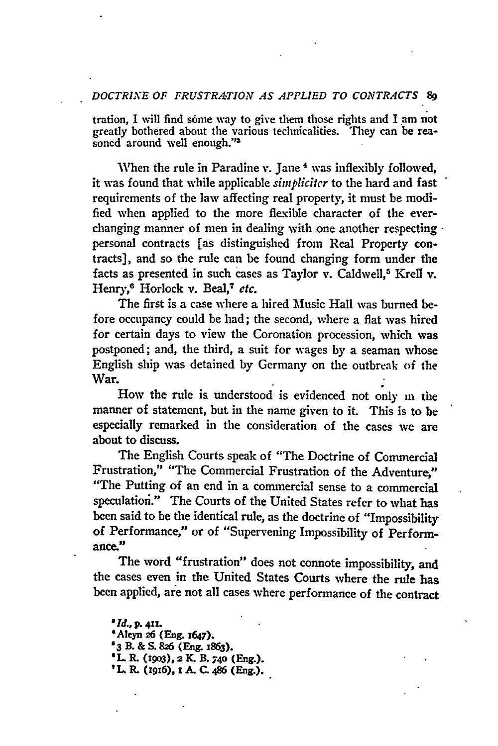### *DOCTRIXE OF FRUSTRATION AS APPLIED TO COINTRACTS* **89**

tration, I will find some way to give them those rights and I am not greatly bothered about the various technicalities. They can be reasoned around well enough."<sup>3</sup>

When the rule in Paradine v. Jane<sup>4</sup> was inflexibly followed, it was found that while applicable *simpliciter* to the hard and fast requirements of the law affecting real property, it must be modified when applied to the more flexible character of the everchanging manner of men in dealing with one another respecting . personal contracts [as distinguished from Real Property contracts], and so the rule can be found changing form under the facts as presented in such cases as Taylor v. Caldwell,<sup>5</sup> Krell v. Henry,<sup>6</sup> Horlock v. Beal,<sup>7</sup> etc.

The first is a case where a hired Music Hall was burned before occupancy could be had; the second, where a flat was hired for certain days to view the Coronation procession, which was postponed; and, the third, a suit for wages by a seaman whose English ship was detained by Germany on the outbreak of the War.

How the rule is understood is evidenced not only in the manner of statement, but in the name given to it. This is to be especially remarked in the consideration of the cases we are about to discuss.

The English Courts speak of "The Doctrine of Commercial Frustration," "The Commercial Frustration of the Adventure," "The Putting of an end in a commercial sense to a commercial speculation." The Courts of the United States refer to what has been said to be the identical rule, as the doctrine of "Impossibility of Performance," or of "Supervening Impossibility of Performance."

The word "frustration" does not connote impossibility, and the cases even in the United States Courts where the rule has been applied, are not all cases where performance of the contract

*'Id.,* **p. 411. "Aleyn 26 (Eng. 1647). '3 B. & S.** *826* **(Eng. 1863). 'L R. (19o3), 2** *K.* **B. 740 (Eng.).** *'L..R* **(zgx6), z A. C. 86 (Eng.).**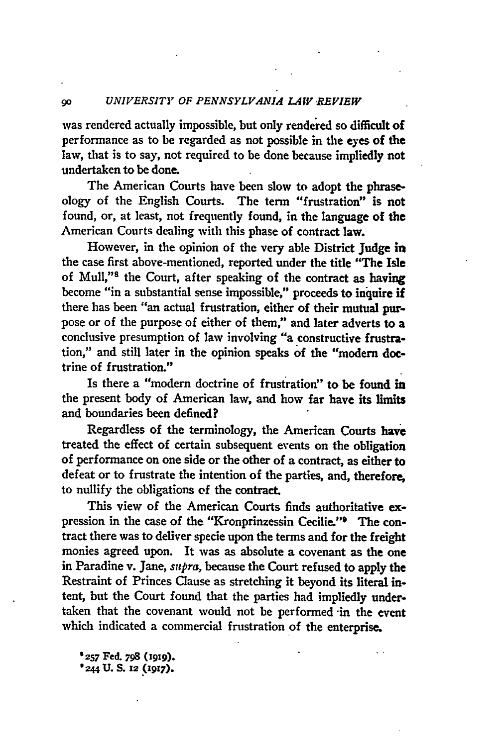was rendered actually impossible, but only rendered so difficult of performance as to be regarded as not possible in the eyes of the law, that is to say, not required to be done because impliedly not undertaken to be done.

The American Courts have been slow to adopt the phraseology of the English Courts. The **term** "frustration" is not found, or, at least, not frequently found, in the language of the American Courts dealing with this phase of contract law.

However, in the opinion of the very able District Judge in the case first above-mentioned, reported under the title "The Isle of Mull,"<sup>8</sup> the Court, after speaking of the contract as having become "in a substantial sense impossible," proceeds to inquire if there has been "an actual frustration, either of their mutual purpose or of the purpose of either of them," and later adverts to a conclusive presumption of law involving "a constructive frustration," and still later in the opinion speaks of the "modem doctrine of frustration."

Is there a "modern doctrine of frustration" to be found in the present body of American law, and how far have its limits and boundaries been defined?

Regardless of the terminology, the American Courts have treated the effect of certain subsequent events on the obligation of performance on one side or the other of a contract, as either to defeat or to frustrate the intention of the parties, and, therefore, to nullify the obligations **of** the contract.

This view of the American Courts finds authoritative **ex**pression in the case of the "Kronprinzessin Cecilie." The contract there was to deliver specie upon the terms and for the freight monies agreed upon. It was as absolute a covenant as the one in Paradine v. Jane, *supra,* because the Court refused to apply the Restraint of Princes Clause as stretching it beyond its literal intent, but the Court found that the parties had impliedly undertaken that the covenant would not be performed in the event which indicated a commercial frustration of the enterprise.

**'257 Fed. 798 (1919). '244 U. S. 12 (1917).**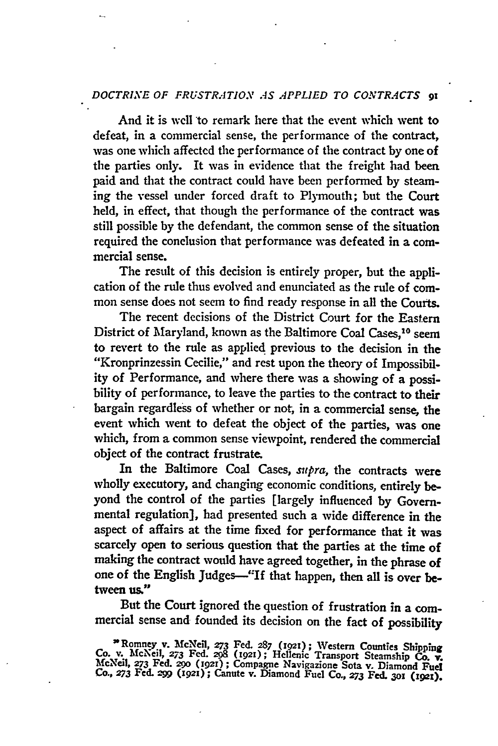# *DOCTRIXE OF FRUSTRATION AS APPLIED TO CONTRACTS 91*

And it is well to remark here that the event which went to defeat, in a commercial sense, the performance of the contract, was one which affected the performance of the contract by one of **the** parties only. It was in evidence that the freight had been paid and that the contract could have been performed **by** steaming the vessel under forced draft to Plymouth; but the Court held, in effect, that though the performance of the contract was still possible **by** the defendant, the common sense of the situation required the conelusion that performance was defeated in a commercial sense.

The result of this decision is entirely proper, but the application of the rule thus evolved and enunciated as the rule of common sense does not seem to find ready response in all the Courts.

The recent decisions of the District Court for the Eastern District of Maryland, known as the Baltimore Coal Cases,<sup>10</sup> seem to revert to the rule as applied previous to the decision in the "Kronprinzessin Cecilie," and rest upon the theory of Impossibility of Performance, and where there was a showing of a possibility of performance, to leave the parties to the contract to their bargain regardless of whether or not, in a commercial sense, the event which went to defeat the object of the parties, was one which, from a common sense viewpoint, rendered the commercial object of the contract frustrate.

In the Baltimore Coal Cases, *supra,* the contracts were wholly executory, and changing economic conditions, entirely beyond the control of the parties [largely influenced **by** Governmental regulation], had presented such a wide difference in the aspect of affairs at the time fixed for performance that it was scarcely open to serious question that the parties at the time of making the contract would have agreed together, in the phrase of one of the English Judges-"If that happen, then all is over between us."

But the Court ignored the question of frustration in a commercial sense and founded its decision on the fact of possibility

<sup>&</sup>quot; Romney v. McNeil, **273** Fed. *287* **(921);** Western Counties Shipping Co. **v.** McNeil, **273** Fed. **298 (i921);** Hcllenc Transport Steamship **Co. v.** McNeil, **273** Fed. 29o (gzr); Compagne Navigazione Sota v. Diamond Fuel Co., **273** Fed. *-9W* **(i92x);** Canute v. Diamond Fuel Co., *273* Fed. **3ox** (1921).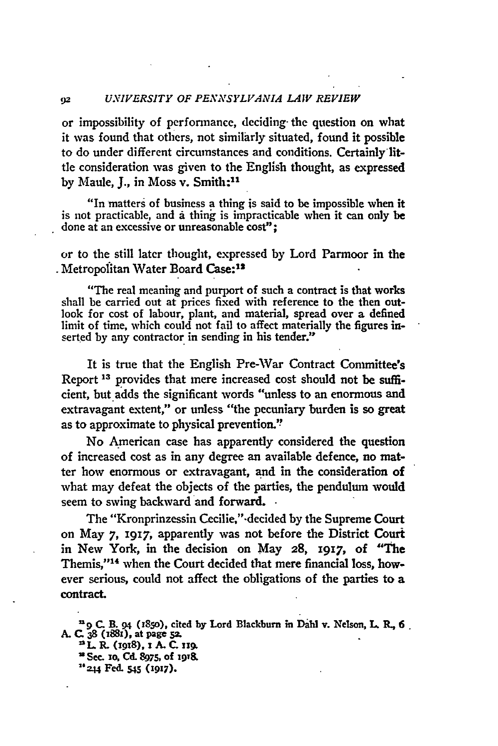# **<sup>92</sup>***UNIVERSITY OF PENANSYLVANIA LAW REVIEW*

or impossibility of performance, deciding- the question on what it was found that others, not similarly situated, found it possible to do under different circumstances and conditions. Certainly little consideration was given to the English thought, as expressed by Maule, J., in Moss v. Smith:<sup>11</sup>

"In matters of business a thing is said to be impossible when it is not practicable, and a thing is impracticable when it can only be done at an excessive or unreasonable cost";

or to the still later thought, expressed by Lord Parmoor in the . Metropolitan Water Board Case:<sup>12</sup>

"The real meaning and purport of such a contract is that works shall be carried out at prices fixed with reference to the then outlook for cost of labour, plant, and material, spread over a defined limit of time, which could not fail to affect materially the figures inserted **by** any contractor in sending in his tender."

It is true that the English Pre-War Contract Committee's Report **13** provides that mere increased cost should not be sufficient, but adds the significant words "unless to an enormous and extravagant extent," or unless "the pecuniary burden is so great as to approximate to physical prevention.'

No American case has apparently considered the question of increased cost as in any degree an available defence, no matter how enormous or extravagant, and in the consideration of what may defeat the objects of the parties, the pendulum would seem to swing backward and forward. .

The "Kronprinzessin Cecilie,"-decided **by** the Supreme Court on May **7, 1917,** apparently was not before the District Court in New York, in the decision on May **28,** 1917, of "The Themis,"14 when the Court decided that mere financial loss, however serious, could not affect the obligations of the parties to a contract.

**C. B. 94 (1850), cited by Lord Blackburn in Dahl v. Nelson, L. R., 6 A. C. 38 (i881), at page 5Z. <sup>0</sup> L. R. 0918), 1 A. C. zi.**

**0 See. 1o, Cd. 8975, of 19T&**

**2444 Fed. 545 (1917).**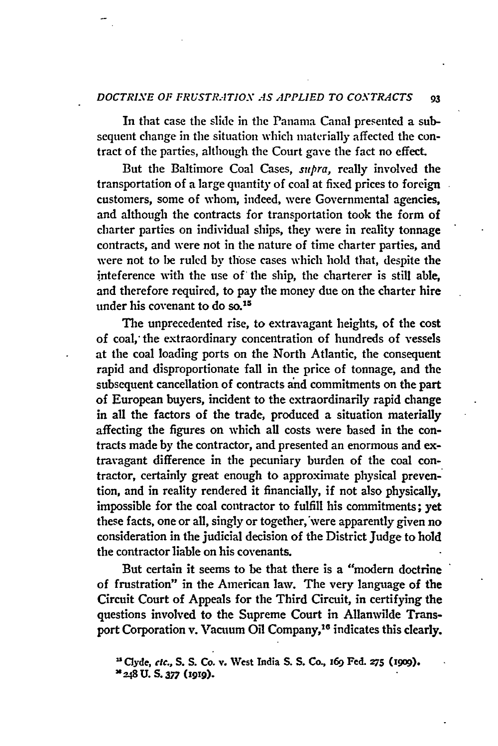### *DOCTRINE OF FRUSTR.-1TION AS APPLIED TO CONTRACTS* **93**

In that case the slide in the Panama Canal presented a subsequent change in the situation which materially affected the contract of the parties, although the Court gave the fact no effect.

But the Baltimore Coal Cases, *supra,* really involved the transportation of a large quantity of coal at fixed prices to foreign customers, some of whom, indeed, were Governmental agencies, and although the contracts for transportation took the form of charter parties on individual ships, they were in reality tonnage contracts, and were not in the nature of time charter parties, and were not to be ruled **by** those cases which hold that, despite the inteference with the use of' the ship, the charterer is still able, and therefore required, to pay the money due on the charter hire under his covenant to do so.<sup>15</sup>

The unprecedented rise, to extravagant heights, of the cost of coal, the extraordinary concentration of hundreds of vessels at the coal loading ports on the North Atlantic, the consequent rapid and disproportionate fall in the price of tonnage, and the subsequent cancellation of contracts and commitments on the part of European buyers, incident to the extraordinarily rapid change in all the factors of the trade, produced a situation materially affecting the figures on which all costs were based in the contracts made **by** the contractor, and presented an enormous and extravagant difference in the pecuniary burden of the coal contractor, certainly great enough to approximate physical prevention, and in reality rendered it financially, if not also physically, impossible for the coal contractor to fulfill his commitments; yet these facts, one or all, singly or together,'were apparently given no consideration in the judicial decision of the District Judge to hold the contractor liable on his covenants.

But certain it seems to be that there is a "modern doctrine of frustration" in the American lav. The very language of the Circuit Court of Appeals for the Third Circuit, in certifying the questions involved to the Supreme Court in Allanwilde Transport Corporation v. Vacuum Oil Company,<sup>16</sup> indicates this clearly.

**Clyde,** *etc.,* **S. S. Co. v. Vest** India **S. S.** Co., **169 Fed. 275 (1909).**

**<sup>248</sup> U.** *S.377 (1919).*